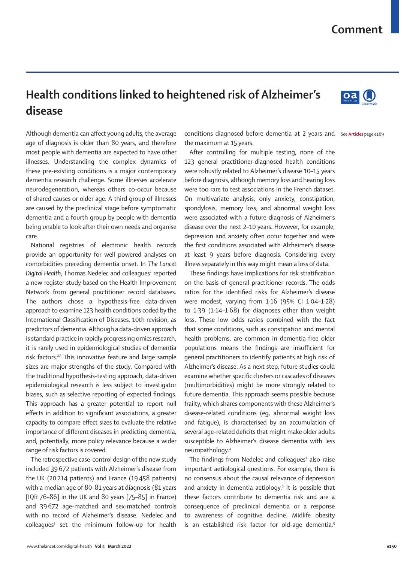## **Comment**

## **Health conditions linked to heightened risk of Alzheimer's disease**

Although dementia can affect young adults, the average age of diagnosis is older than 80 years, and therefore most people with dementia are expected to have other illnesses. Understanding the complex dynamics of these pre-existing conditions is a major contemporary dementia research challenge. Some illnesses accelerate neurodegeneration, whereas others co-occur because of shared causes or older age. A third group of illnesses are caused by the preclinical stage before symptomatic dementia and a fourth group by people with dementia being unable to look after their own needs and organise care.

National registries of electronic health records provide an opportunity for well powered analyses on comorbidities preceding dementia onset. In *The Lancet*  Digital Health, Thomas Nedelec and colleagues<sup>1</sup> reported a new register study based on the Health Improvement Network from general practitioner record databases. The authors chose a hypothesis-free data-driven approach to examine 123 health conditions coded by the International Classification of Diseases, 10th revision, as predictors of dementia. Although a data-driven approach is standard practice in rapidly progressing omics research, it is rarely used in epidemiological studies of dementia risk factors.<sup>2,3</sup> This innovative feature and large sample sizes are major strengths of the study. Compared with the traditional hypothesis-testing approach, data-driven epidemiological research is less subject to investigator biases, such as selective reporting of expected findings. This approach has a greater potential to report null effects in addition to significant associations, a greater capacity to compare effect sizes to evaluate the relative importance of different diseases in predicting dementia, and, potentially, more policy relevance because a wider range of risk factors is covered.

The retrospective case-control design of the new study included 39672 patients with Alzheimer's disease from the UK (20214 patients) and France (19458 patients) with a median age of 80–81 years at diagnosis (81 years [IQR 76–86] in the UK and 80 years [75–85] in France) and 39672 age-matched and sex-matched controls with no record of Alzheimer's disease. Nedelec and  $\text{colleagues}^1$  set the minimum follow-up for health

conditions diagnosed before dementia at 2 years and see Articles page e169 the maximum at 15 years.

After controlling for multiple testing, none of the 123 general practitioner-diagnosed health conditions were robustly related to Alzheimer's disease 10–15 years before diagnosis, although memory loss and hearing loss were too rare to test associations in the French dataset. On multivariate analysis, only anxiety, constipation, spondylosis, memory loss, and abnormal weight loss were associated with a future diagnosis of Alzheimer's disease over the next 2–10 years. However, for example, depression and anxiety often occur together and were the first conditions associated with Alzheimer's disease at least 9 years before diagnosis. Considering every illness separately in this way might mean a loss of data.

These findings have implications for risk stratification on the basis of general practitioner records. The odds ratios for the identified risks for Alzheimer's disease were modest, varying from 1·16 (95% CI 1·04–1·28) to 1·39 (1·14–1·68) for diagnoses other than weight loss. These low odds ratios combined with the fact that some conditions, such as constipation and mental health problems, are common in dementia-free older populations means the findings are insufficient for general practitioners to identify patients at high risk of Alzheimer's disease. As a next step, future studies could examine whether specific clusters or cascades of diseases (multimorbidities) might be more strongly related to future dementia. This approach seems possible because frailty, which shares components with these Alzheimer's disease-related conditions (eg, abnormal weight loss and fatigue), is characterised by an accumulation of several age-related deficits that might make older adults susceptible to Alzheimer's disease dementia with less neuropathology.4

The findings from Nedelec and colleagues $1$  also raise important aetiological questions. For example, there is no consensus about the causal relevance of depression and anxiety in dementia aetiology.<sup>5</sup> It is possible that these factors contribute to dementia risk and are a consequence of preclinical dementia or a response to awareness of cognitive decline. Midlife obesity is an established risk factor for old-age dementia.<sup>5</sup>